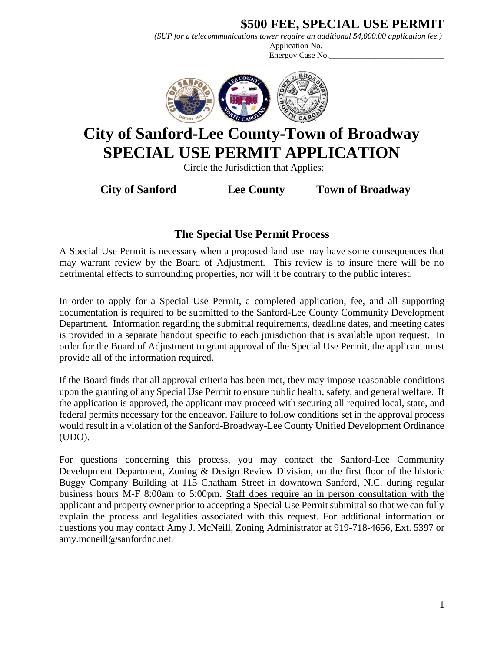# **\$500 FEE, SPECIAL USE PERMIT**

*(SUP for a telecommunications tower require an additional \$4,000.00 application fee.)*

Application No. Energov Case No.



# **City of Sanford-Lee County-Town of Broadway SPECIAL USE PERMIT APPLICATION**

Circle the Jurisdiction that Applies:

**City of Sanford Lee County Town of Broadway**

# **The Special Use Permit Process**

A Special Use Permit is necessary when a proposed land use may have some consequences that may warrant review by the Board of Adjustment. This review is to insure there will be no detrimental effects to surrounding properties, nor will it be contrary to the public interest.

In order to apply for a Special Use Permit, a completed application, fee, and all supporting documentation is required to be submitted to the Sanford-Lee County Community Development Department. Information regarding the submittal requirements, deadline dates, and meeting dates is provided in a separate handout specific to each jurisdiction that is available upon request. In order for the Board of Adjustment to grant approval of the Special Use Permit, the applicant must provide all of the information required.

If the Board finds that all approval criteria has been met, they may impose reasonable conditions upon the granting of any Special Use Permit to ensure public health, safety, and general welfare. If the application is approved, the applicant may proceed with securing all required local, state, and federal permits necessary for the endeavor. Failure to follow conditions set in the approval process would result in a violation of the Sanford-Broadway-Lee County Unified Development Ordinance (UDO).

For questions concerning this process, you may contact the Sanford-Lee Community Development Department, Zoning & Design Review Division, on the first floor of the historic Buggy Company Building at 115 Chatham Street in downtown Sanford, N.C. during regular business hours M-F 8:00am to 5:00pm. Staff does require an in person consultation with the applicant and property owner prior to accepting a Special Use Permit submittal so that we can fully explain the process and legalities associated with this request. For additional information or questions you may contact Amy J. McNeill, Zoning Administrator at 919-718-4656, Ext. 5397 or amy.mcneill@sanfordnc.net.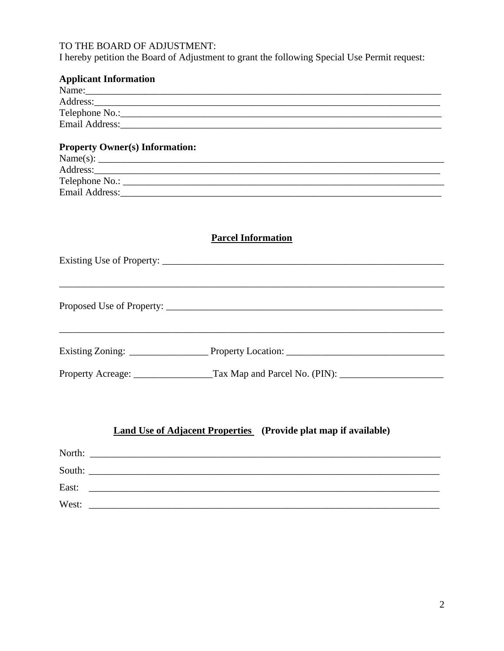### TO THE BOARD OF ADJUSTMENT:

I hereby petition the Board of Adjustment to grant the following Special Use Permit request:

| <b>Applicant Information</b>                                                                         |
|------------------------------------------------------------------------------------------------------|
|                                                                                                      |
|                                                                                                      |
|                                                                                                      |
|                                                                                                      |
| <b>Property Owner(s) Information:</b>                                                                |
|                                                                                                      |
|                                                                                                      |
|                                                                                                      |
|                                                                                                      |
| <b>Parcel Information</b>                                                                            |
|                                                                                                      |
|                                                                                                      |
|                                                                                                      |
| Property Acreage: ____________________Tax Map and Parcel No. (PIN): ________________________________ |
| <b>Land Use of Adjacent Properties</b> (Provide plat map if available)                               |
| North:                                                                                               |
| South:                                                                                               |
| East:                                                                                                |
| West:                                                                                                |

 $\overline{c}$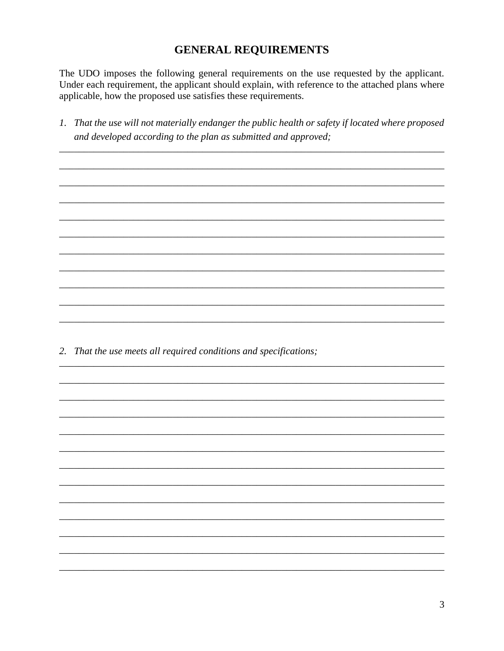#### **GENERAL REQUIREMENTS**

The UDO imposes the following general requirements on the use requested by the applicant. Under each requirement, the applicant should explain, with reference to the attached plans where applicable, how the proposed use satisfies these requirements.

1. That the use will not materially endanger the public health or safety if located where proposed and developed according to the plan as submitted and approved;

2. That the use meets all required conditions and specifications;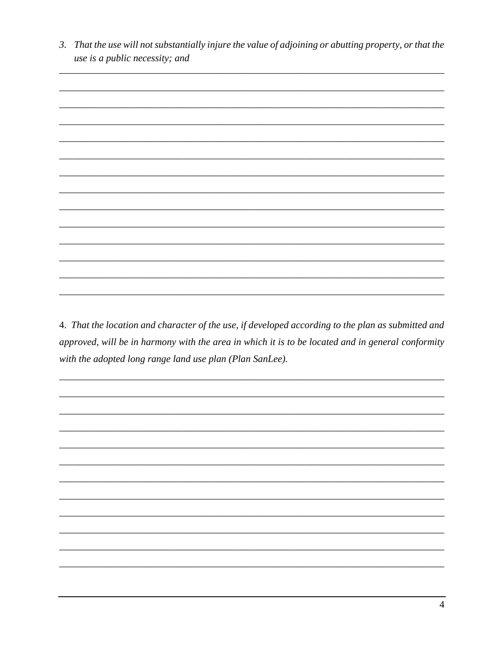3. That the use will not substantially injure the value of adjoining or abutting property, or that the use is a public necessity; and



4. That the location and character of the use, if developed according to the plan as submitted and approved, will be in harmony with the area in which it is to be located and in general conformity with the adopted long range land use plan (Plan SanLee).

 $\overline{4}$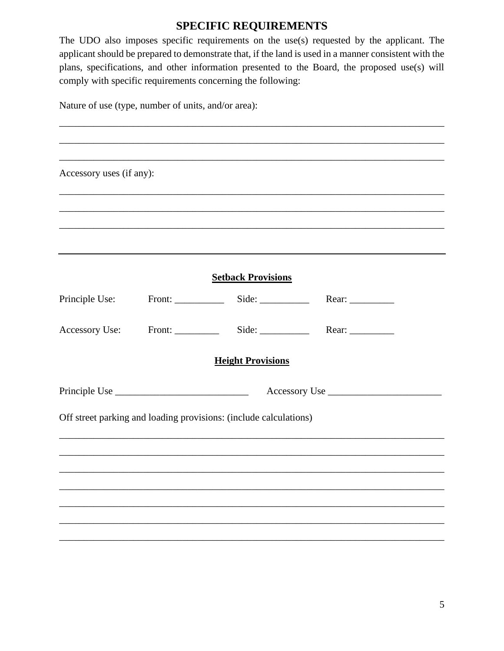## **SPECIFIC REQUIREMENTS**

The UDO also imposes specific requirements on the use(s) requested by the applicant. The applicant should be prepared to demonstrate that, if the land is used in a manner consistent with the plans, specifications, and other information presented to the Board, the proposed use(s) will comply with specific requirements concerning the following:

|  |  |  | Nature of use (type, number of units, and/or area): |
|--|--|--|-----------------------------------------------------|
|--|--|--|-----------------------------------------------------|

| Accessory uses (if any): |                                                                   |                                               |  |
|--------------------------|-------------------------------------------------------------------|-----------------------------------------------|--|
|                          |                                                                   |                                               |  |
|                          |                                                                   |                                               |  |
|                          |                                                                   |                                               |  |
|                          | <b>Setback Provisions</b>                                         |                                               |  |
| Principle Use:           |                                                                   | Front: Side: Side: Rear:                      |  |
|                          |                                                                   | Accessory Use: Front: Side: Side: Rear: Near: |  |
|                          | <b>Height Provisions</b>                                          |                                               |  |
|                          |                                                                   |                                               |  |
|                          | Off street parking and loading provisions: (include calculations) |                                               |  |
|                          |                                                                   |                                               |  |
|                          |                                                                   |                                               |  |
|                          |                                                                   |                                               |  |
|                          |                                                                   |                                               |  |
|                          |                                                                   |                                               |  |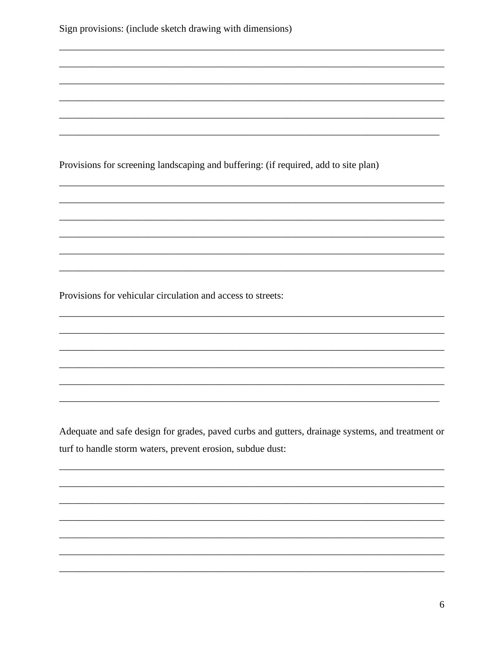| Sign provisions: (include sketch drawing with dimensions) |  |  |  |  |  |
|-----------------------------------------------------------|--|--|--|--|--|
|-----------------------------------------------------------|--|--|--|--|--|

Provisions for screening landscaping and buffering: (if required, add to site plan)

Provisions for vehicular circulation and access to streets:

Adequate and safe design for grades, paved curbs and gutters, drainage systems, and treatment or turf to handle storm waters, prevent erosion, subdue dust: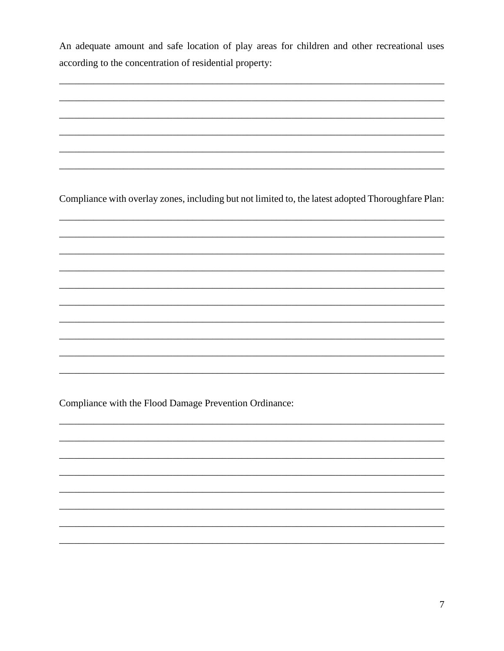An adequate amount and safe location of play areas for children and other recreational uses according to the concentration of residential property:

<u> 1989 - Johann John Stone, markin fizikar (h. 1989).</u>

Compliance with overlay zones, including but not limited to, the latest adopted Thoroughfare Plan:

Compliance with the Flood Damage Prevention Ordinance: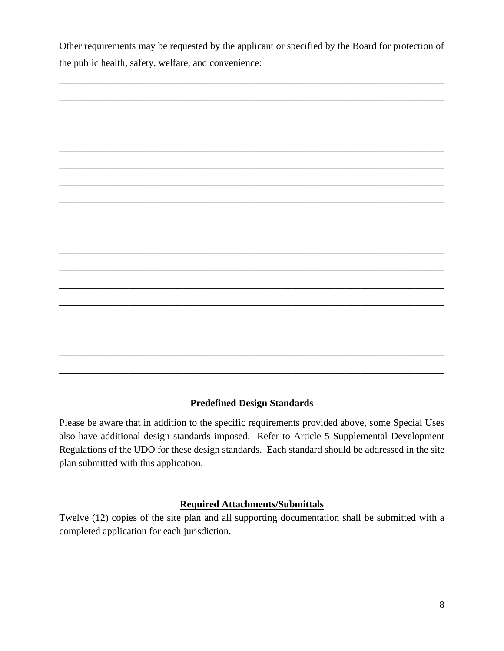Other requirements may be requested by the applicant or specified by the Board for protection of the public health, safety, welfare, and convenience:



#### **Predefined Design Standards**

Please be aware that in addition to the specific requirements provided above, some Special Uses also have additional design standards imposed. Refer to Article 5 Supplemental Development Regulations of the UDO for these design standards. Each standard should be addressed in the site plan submitted with this application.

#### **Required Attachments/Submittals**

Twelve (12) copies of the site plan and all supporting documentation shall be submitted with a completed application for each jurisdiction.